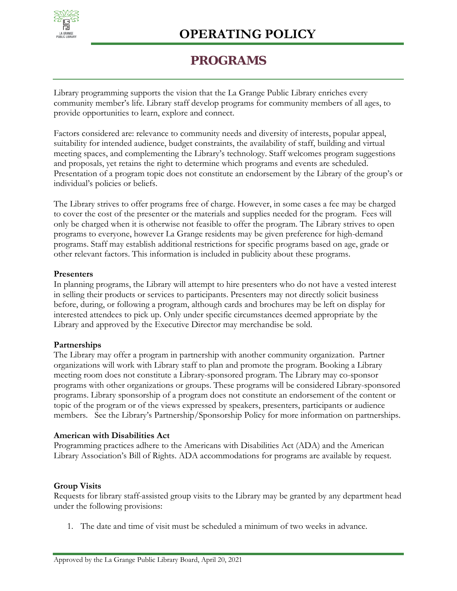

## **PROGRAMS**

Library programming supports the vision that the La Grange Public Library enriches every community member's life. Library staff develop programs for community members of all ages, to provide opportunities to learn, explore and connect.

Factors considered are: relevance to community needs and diversity of interests, popular appeal, suitability for intended audience, budget constraints, the availability of staff, building and virtual meeting spaces, and complementing the Library's technology. Staff welcomes program suggestions and proposals, yet retains the right to determine which programs and events are scheduled. Presentation of a program topic does not constitute an endorsement by the Library of the group's or individual's policies or beliefs.

The Library strives to offer programs free of charge. However, in some cases a fee may be charged to cover the cost of the presenter or the materials and supplies needed for the program. Fees will only be charged when it is otherwise not feasible to offer the program. The Library strives to open programs to everyone, however La Grange residents may be given preference for high-demand programs. Staff may establish additional restrictions for specific programs based on age, grade or other relevant factors. This information is included in publicity about these programs.

### **Presenters**

In planning programs, the Library will attempt to hire presenters who do not have a vested interest in selling their products or services to participants. Presenters may not directly solicit business before, during, or following a program, although cards and brochures may be left on display for interested attendees to pick up. Only under specific circumstances deemed appropriate by the Library and approved by the Executive Director may merchandise be sold.

### **Partnerships**

The Library may offer a program in partnership with another community organization. Partner organizations will work with Library staff to plan and promote the program. Booking a Library meeting room does not constitute a Library-sponsored program. The Library may co-sponsor programs with other organizations or groups. These programs will be considered Library-sponsored programs. Library sponsorship of a program does not constitute an endorsement of the content or topic of the program or of the views expressed by speakers, presenters, participants or audience members. See the Library's Partnership/Sponsorship Policy for more information on partnerships.

### **American with Disabilities Act**

Programming practices adhere to the Americans with Disabilities Act (ADA) and the American Library Association's Bill of Rights. ADA accommodations for programs are available by request.

### **Group Visits**

Requests for library staff-assisted group visits to the Library may be granted by any department head under the following provisions:

1. The date and time of visit must be scheduled a minimum of two weeks in advance.